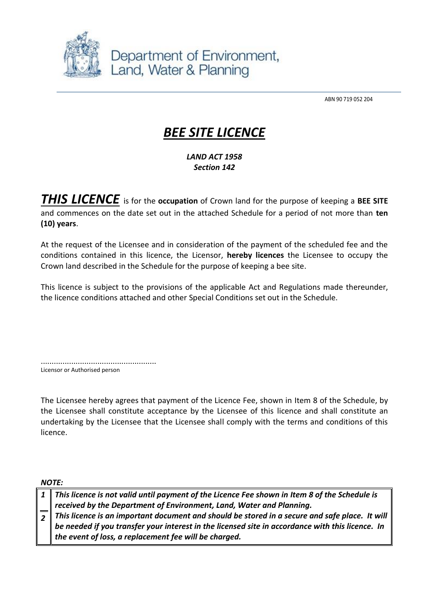

Department of Environment, Land, Water & Planning

ABN 90 719 052 204

# *BEE SITE LICENCE*

*LAND ACT 1958 Section 142*

*THIS LICENCE* is for the **occupation** of Crown land for the purpose of keeping a **BEE SITE** and commences on the date set out in the attached Schedule for a period of not more than **ten (10) years**.

At the request of the Licensee and in consideration of the payment of the scheduled fee and the conditions contained in this licence, the Licensor, **hereby licences** the Licensee to occupy the Crown land described in the Schedule for the purpose of keeping a bee site.

This licence is subject to the provisions of the applicable Act and Regulations made thereunder, the licence conditions attached and other Special Conditions set out in the Schedule.

..................................................... Licensor or Authorised person

The Licensee hereby agrees that payment of the Licence Fee, shown in Item 8 of the Schedule, by the Licensee shall constitute acceptance by the Licensee of this licence and shall constitute an undertaking by the Licensee that the Licensee shall comply with the terms and conditions of this licence.

*NOTE:*

|  | $\mid$ 1 $\parallel$ This licence is not valid until payment of the Licence Fee shown in Item 8 of the Schedule is |  |
|--|--------------------------------------------------------------------------------------------------------------------|--|
|  | received by the Department of Environment, Land, Water and Planning.                                               |  |
|  | $\sqrt{2}$ This licence is an important document and should be stored in a secure and safe place. It will          |  |
|  | be needed if you transfer your interest in the licensed site in accordance with this licence. In                   |  |
|  | the event of loss, a replacement fee will be charged.                                                              |  |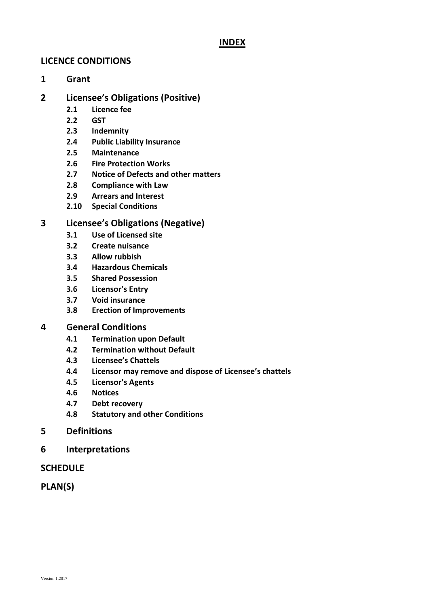# **INDEX**

# **LICENCE CONDITIONS**

**1 Grant**

# **2 Licensee's Obligations (Positive)**

- **2.1 Licence fee**
- **2.2 GST**
- **2.3 Indemnity**
- **2.4 Public Liability Insurance**
- **2.5 Maintenance**
- **2.6 Fire Protection Works**
- **2.7 Notice of Defects and other matters**
- **2.8 Compliance with Law**
- **2.9 Arrears and Interest**
- **2.10 Special Conditions**

# **3 Licensee's Obligations (Negative)**

- **3.1 Use of Licensed site**
- **3.2 Create nuisance**
- **3.3 Allow rubbish**
- **3.4 Hazardous Chemicals**
- **3.5 Shared Possession**
- **3.6 Licensor's Entry**
- **3.7 Void insurance**
- **3.8 Erection of Improvements**

# **4 General Conditions**

- **4.1 Termination upon Default**
- **4.2 Termination without Default**
- **4.3 Licensee's Chattels**
- **4.4 Licensor may remove and dispose of Licensee's chattels**
- **4.5 Licensor's Agents**
- **4.6 Notices**
- **4.7 Debt recovery**
- **4.8 Statutory and other Conditions**
- **5 Definitions**
- **6 Interpretations**

# **SCHEDULE**

**PLAN(S)**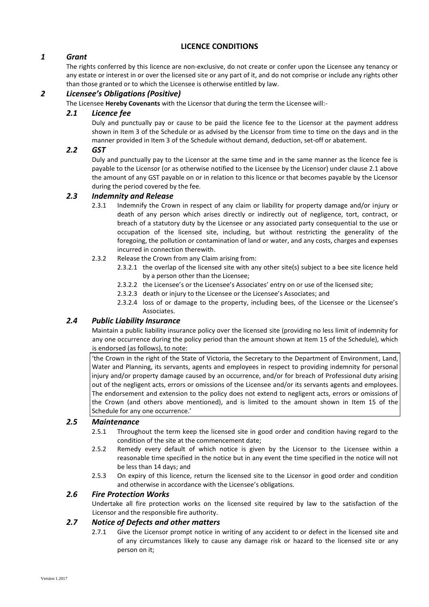## **LICENCE CONDITIONS**

# *1 Grant*

The rights conferred by this licence are non-exclusive, do not create or confer upon the Licensee any tenancy or any estate or interest in or over the licensed site or any part of it, and do not comprise or include any rights other than those granted or to which the Licensee is otherwise entitled by law.

## *2 Licensee's Obligations (Positive)*

The Licensee **Hereby Covenants** with the Licensor that during the term the Licensee will:-

#### *2.1 Licence fee*

Duly and punctually pay or cause to be paid the licence fee to the Licensor at the payment address shown in Item 3 of the Schedule or as advised by the Licensor from time to time on the days and in the manner provided in Item 3 of the Schedule without demand, deduction, set-off or abatement.

#### *2.2 GST*

Duly and punctually pay to the Licensor at the same time and in the same manner as the licence fee is payable to the Licensor (or as otherwise notified to the Licensee by the Licensor) under clause 2.1 above the amount of any GST payable on or in relation to this licence or that becomes payable by the Licensor during the period covered by the fee.

#### *2.3 Indemnity and Release*

- 2.3.1 Indemnify the Crown in respect of any claim or liability for property damage and/or injury or death of any person which arises directly or indirectly out of negligence, tort, contract, or breach of a statutory duty by the Licensee or any associated party consequential to the use or occupation of the licensed site, including, but without restricting the generality of the foregoing, the pollution or contamination of land or water, and any costs, charges and expenses incurred in connection therewith.
- 2.3.2 Release the Crown from any Claim arising from:
	- 2.3.2.1 the overlap of the licensed site with any other site(s) subject to a bee site licence held by a person other than the Licensee;
	- 2.3.2.2 the Licensee's or the Licensee's Associates' entry on or use of the licensed site;
	- 2.3.2.3 death or injury to the Licensee or the Licensee's Associates; and
	- 2.3.2.4 loss of or damage to the property, including bees, of the Licensee or the Licensee's Associates.

# *2.4 Public Liability Insurance*

Maintain a public liability insurance policy over the licensed site (providing no less limit of indemnity for any one occurrence during the policy period than the amount shown at Item 15 of the Schedule), which is endorsed (as follows), to note:

'the Crown in the right of the State of Victoria, the Secretary to the Department of Environment, Land, Water and Planning, its servants, agents and employees in respect to providing indemnity for personal injury and/or property damage caused by an occurrence, and/or for breach of Professional duty arising out of the negligent acts, errors or omissions of the Licensee and/or its servants agents and employees. The endorsement and extension to the policy does not extend to negligent acts, errors or omissions of the Crown (and others above mentioned), and is limited to the amount shown in Item 15 of the Schedule for any one occurrence.'

#### *2.5 Maintenance*

- 2.5.1 Throughout the term keep the licensed site in good order and condition having regard to the condition of the site at the commencement date;
- 2.5.2 Remedy every default of which notice is given by the Licensor to the Licensee within a reasonable time specified in the notice but in any event the time specified in the notice will not be less than 14 days; and
- 2.5.3 On expiry of this licence, return the licensed site to the Licensor in good order and condition and otherwise in accordance with the Licensee's obligations.

#### *2.6 Fire Protection Works*

Undertake all fire protection works on the licensed site required by law to the satisfaction of the Licensor and the responsible fire authority.

#### *2.7 Notice of Defects and other matters*

2.7.1 Give the Licensor prompt notice in writing of any accident to or defect in the licensed site and of any circumstances likely to cause any damage risk or hazard to the licensed site or any person on it;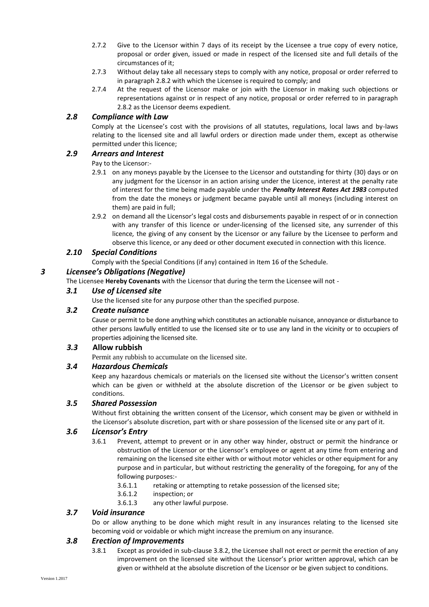- 2.7.2 Give to the Licensor within 7 days of its receipt by the Licensee a true copy of every notice, proposal or order given, issued or made in respect of the licensed site and full details of the circumstances of it;
- 2.7.3 Without delay take all necessary steps to comply with any notice, proposal or order referred to in paragraph 2.8.2 with which the Licensee is required to comply; and
- 2.7.4 At the request of the Licensor make or join with the Licensor in making such objections or representations against or in respect of any notice, proposal or order referred to in paragraph 2.8.2 as the Licensor deems expedient.

### *2.8 Compliance with Law*

Comply at the Licensee's cost with the provisions of all statutes, regulations, local laws and by-laws relating to the licensed site and all lawful orders or direction made under them, except as otherwise permitted under this licence;

#### *2.9 Arrears and Interest*

Pay to the Licensor:-

- 2.9.1 on any moneys payable by the Licensee to the Licensor and outstanding for thirty (30) days or on any judgment for the Licensor in an action arising under the Licence, interest at the penalty rate of interest for the time being made payable under the *Penalty Interest Rates Act 1983* computed from the date the moneys or judgment became payable until all moneys (including interest on them) are paid in full;
- 2.9.2 on demand all the Licensor's legal costs and disbursements payable in respect of or in connection with any transfer of this licence or under-licensing of the licensed site, any surrender of this licence*,* the giving of any consent by the Licensor or any failure by the Licensee to perform and observe this licence, or any deed or other document executed in connection with this licence.

#### *2.10 Special Conditions*

Comply with the Special Conditions (if any) contained in Item 16 of the Schedule.

#### *3 Licensee's Obligations (Negative)*

The Licensee **Hereby Covenants** with the Licensor that during the term the Licensee will not -

#### *3.1 Use of Licensed site*

Use the licensed site for any purpose other than the specified purpose.

#### *3.2 Create nuisance*

Cause or permit to be done anything which constitutes an actionable nuisance, annoyance or disturbance to other persons lawfully entitled to use the licensed site or to use any land in the vicinity or to occupiers of properties adjoining the licensed site.

#### *3.3* **Allow rubbish**

Permit any rubbish to accumulate on the licensed site.

#### *3.4 Hazardous Chemicals*

Keep any hazardous chemicals or materials on the licensed site without the Licensor's written consent which can be given or withheld at the absolute discretion of the Licensor or be given subject to conditions.

#### *3.5 Shared Possession*

Without first obtaining the written consent of the Licensor, which consent may be given or withheld in the Licensor's absolute discretion, part with or share possession of the licensed site or any part of it.

#### *3.6 Licensor's Entry*

- 3.6.1 Prevent, attempt to prevent or in any other way hinder, obstruct or permit the hindrance or obstruction of the Licensor or the Licensor's employee or agent at any time from entering and remaining on the licensed site either with or without motor vehicles or other equipment for any purpose and in particular, but without restricting the generality of the foregoing, for any of the following purposes:-
	- 3.6.1.1 retaking or attempting to retake possession of the licensed site;
	- 3.6.1.2 inspection; or
	- 3.6.1.3 any other lawful purpose.

#### *3.7 Void insurance*

Do or allow anything to be done which might result in any insurances relating to the licensed site becoming void or voidable or which might increase the premium on any insurance.

## *3.8 Erection of Improvements*

3.8.1 Except as provided in sub-clause 3.8.2, the Licensee shall not erect or permit the erection of any improvement on the licensed site without the Licensor's prior written approval, which can be given or withheld at the absolute discretion of the Licensor or be given subject to conditions.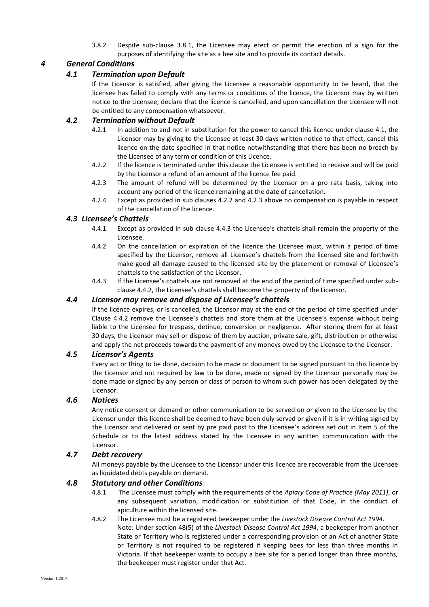3.8.2 Despite sub-clause 3.8.1, the Licensee may erect or permit the erection of a sign for the purposes of identifying the site as a bee site and to provide its contact details.

# *4 General Conditions*

## *4.1 Termination upon Default*

If the Licensor is satisfied, after giving the Licensee a reasonable opportunity to be heard, that the licensee has failed to comply with any terms or conditions of the licence, the Licensor may by written notice to the Licensee, declare that the licence is cancelled, and upon cancellation the Licensee will not be entitled to any compensation whatsoever.

## *4.2 Termination without Default*

- 4.2.1 In addition to and not in substitution for the power to cancel this licence under clause 4.1, the Licensor may by giving to the Licensee at least 30 days written notice to that effect, cancel this licence on the date specified in that notice notwithstanding that there has been no breach by the Licensee of any term or condition of this Licence.
- 4.2.2 If the licence is terminated under this clause the Licensee is entitled to receive and will be paid by the Licensor a refund of an amount of the licence fee paid.
- 4.2.3 The amount of refund will be determined by the Licensor on a pro rata basis, taking into account any period of the licence remaining at the date of cancellation.
- 4.2.4 Except as provided in sub clauses 4.2.2 and 4.2.3 above no compensation is payable in respect of the cancellation of the licence.

#### *4.3 Licensee's Chattels*

- 4.4.1 Except as provided in sub-clause 4.4.3 the Licensee's chattels shall remain the property of the Licensee.
- 4.4.2 On the cancellation or expiration of the licence the Licensee must, within a period of time specified by the Licensor, remove all Licensee's chattels from the licensed site and forthwith make good all damage caused to the licensed site by the placement or removal of Licensee's chattels to the satisfaction of the Licensor.
- 4.4.3 If the Licensee's chattels are not removed at the end of the period of time specified under subclause 4.4.2, the Licensee's chattels shall become the property of the Licensor.

#### *4.4 Licensor may remove and dispose of Licensee's chattels*

If the licence expires, or is cancelled, the Licensor may at the end of the period of time specified under Clause 4.4.2 remove the Licensee's chattels and store them at the Licensee's expense without being liable to the Licensee for trespass, detinue, conversion or negligence. After storing them for at least 30 days, the Licensor may sell or dispose of them by auction, private sale, gift, distribution or otherwise and apply the net proceeds towards the payment of any moneys owed by the Licensee to the Licensor.

#### *4.5 Licensor's Agents*

Every act or thing to be done, decision to be made or document to be signed pursuant to this licence by the Licensor and not required by law to be done, made or signed by the Licensor personally may be done made or signed by any person or class of person to whom such power has been delegated by the Licensor.

#### *4.6 Notices*

Any notice consent or demand or other communication to be served on or given to the Licensee by the Licensor under this licence shall be deemed to have been duly served or given if it is in writing signed by the Licensor and delivered or sent by pre paid post to the Licensee's address set out in Item 5 of the Schedule or to the latest address stated by the Licensee in any written communication with the Licensor.

#### *4.7 Debt recovery*

All moneys payable by the Licensee to the Licensor under this licence are recoverable from the Licensee as liquidated debts payable on demand.

#### *4.8 Statutory and other Conditions*

- 4.8.1 The Licensee must comply with the requirements of the *Apiary Code of Practice (May 2011)*, or any subsequent variation, modification or substitution of that Code, in the conduct of apiculture within the licensed site.
- 4.8.2 The Licensee must be a registered beekeeper under the *Livestock Disease Control Act 1994*. Note: Under section 48(5) of the *Livestock Disease Control Act 1994*, a beekeeper from another State or Territory who is registered under a corresponding provision of an Act of another State or Territory is not required to be registered if keeping bees for less than three months in Victoria. If that beekeeper wants to occupy a bee site for a period longer than three months, the beekeeper must register under that Act.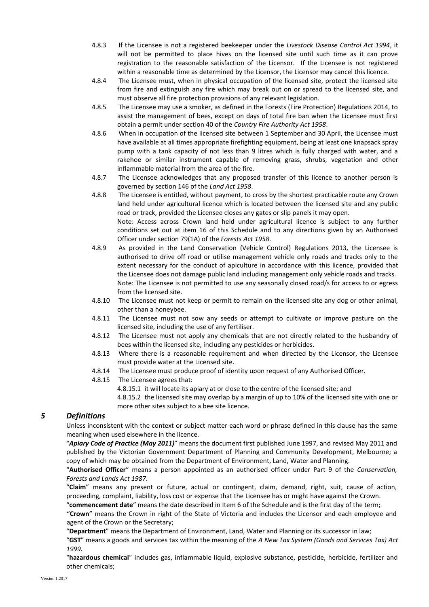- 4.8.3 If the Licensee is not a registered beekeeper under the *Livestock Disease Control Act 1994*, it will not be permitted to place hives on the licensed site until such time as it can prove registration to the reasonable satisfaction of the Licensor. If the Licensee is not registered within a reasonable time as determined by the Licensor, the Licensor may cancel this licence.
- 4.8.4 The Licensee must, when in physical occupation of the licensed site, protect the licensed site from fire and extinguish any fire which may break out on or spread to the licensed site, and must observe all fire protection provisions of any relevant legislation.
- 4.8.5 The Licensee may use a smoker, as defined in the Forests (Fire Protection) Regulations 2014, to assist the management of bees, except on days of total fire ban when the Licensee must first obtain a permit under section 40 of the *Country Fire Authority Act 1958*.
- 4.8.6 When in occupation of the licensed site between 1 September and 30 April, the Licensee must have available at all times appropriate firefighting equipment, being at least one knapsack spray pump with a tank capacity of not less than 9 litres which is fully charged with water, and a rakehoe or similar instrument capable of removing grass, shrubs, vegetation and other inflammable material from the area of the fire.
- 4.8.7 The Licensee acknowledges that any proposed transfer of this licence to another person is governed by section 146 of the *Land Act 1958*.
- 4.8.8 The Licensee is entitled, without payment, to cross by the shortest practicable route any Crown land held under agricultural licence which is located between the licensed site and any public road or track, provided the Licensee closes any gates or slip panels it may open. Note: Access across Crown land held under agricultural licence is subject to any further conditions set out at item 16 of this Schedule and to any directions given by an Authorised Officer under section 79(1A) of the *Forests Act 1958*.
- 4.8.9 As provided in the Land Conservation (Vehicle Control) Regulations 2013, the Licensee is authorised to drive off road or utilise management vehicle only roads and tracks only to the extent necessary for the conduct of apiculture in accordance with this licence, provided that the Licensee does not damage public land including management only vehicle roads and tracks. Note: The Licensee is not permitted to use any seasonally closed road/s for access to or egress from the licensed site.
- 4.8.10 The Licensee must not keep or permit to remain on the licensed site any dog or other animal, other than a honeybee.
- 4.8.11 The Licensee must not sow any seeds or attempt to cultivate or improve pasture on the licensed site, including the use of any fertiliser.
- 4.8.12 The Licensee must not apply any chemicals that are not directly related to the husbandry of bees within the licensed site, including any pesticides or herbicides.
- 4.8.13 Where there is a reasonable requirement and when directed by the Licensor, the Licensee must provide water at the Licensed site.
- 4.8.14 The Licensee must produce proof of identity upon request of any Authorised Officer.
- 4.8.15 The Licensee agrees that:
	- 4.8.15.1 it will locate its apiary at or close to the centre of the licensed site; and

4.8.15.2 the licensed site may overlap by a margin of up to 10% of the licensed site with one or more other sites subject to a bee site licence.

#### *5 Definitions*

Unless inconsistent with the context or subject matter each word or phrase defined in this clause has the same meaning when used elsewhere in the licence.

"*Apiary Code of Practice (May 2011)*" means the document first published June 1997, and revised May 2011 and published by the Victorian Government Department of Planning and Community Development, Melbourne; a copy of which may be obtained from the Department of Environment, Land, Water and Planning.

"**Authorised Officer**" means a person appointed as an authorised officer under Part 9 of the *Conservation, Forests and Lands Act 1987*.

"**Claim**" means any present or future, actual or contingent, claim, demand, right, suit, cause of action, proceeding, complaint, liability, loss cost or expense that the Licensee has or might have against the Crown.

"**commencement date**" means the date described in Item 6 of the Schedule and is the first day of the term;

"**Crown**" means the Crown in right of the State of Victoria and includes the Licensor and each employee and agent of the Crown or the Secretary;

"**Department**" means the Department of Environment, Land, Water and Planning or its successor in law;

"**GST**" means a goods and services tax within the meaning of the *A New Tax System (Goods and Services Tax) Act 1999.*

"**hazardous chemical**" includes gas, inflammable liquid, explosive substance, pesticide, herbicide, fertilizer and other chemicals;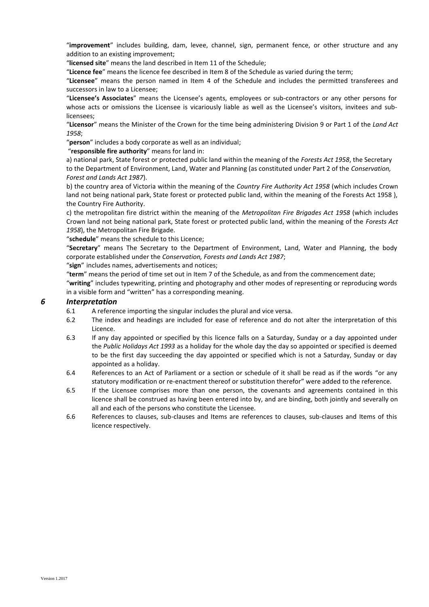"**improvement**" includes building, dam, levee, channel, sign, permanent fence, or other structure and any addition to an existing improvement;

"**licensed site**" means the land described in Item 11 of the Schedule;

"**Licence fee**" means the licence fee described in Item 8 of the Schedule as varied during the term;

"**Licensee**" means the person named in Item 4 of the Schedule and includes the permitted transferees and successors in law to a Licensee;

"**Licensee's Associates**" means the Licensee's agents, employees or sub-contractors or any other persons for whose acts or omissions the Licensee is vicariously liable as well as the Licensee's visitors, invitees and sublicensees;

"**Licensor**" means the Minister of the Crown for the time being administering Division 9 or Part 1 of the *Land Act 1958*;

"**person**" includes a body corporate as well as an individual;

"**responsible fire authority**" means for land in:

a) national park, State forest or protected public land within the meaning of the *Forests Act 1958*, the Secretary to the Department of Environment, Land, Water and Planning (as constituted under Part 2 of the *Conservation, Forest and Lands Act 1987*).

b) the country area of Victoria within the meaning of the *Country Fire Authority Act 1958* (which includes Crown land not being national park, State forest or protected public land, within the meaning of the Forests Act 1958 ), the Country Fire Authority.

c) the metropolitan fire district within the meaning of the *Metropolitan Fire Brigades Act 1958* (which includes Crown land not being national park, State forest or protected public land, within the meaning of the *Forests Act 1958*), the Metropolitan Fire Brigade.

"**schedule**" means the schedule to this Licence;

"**Secretary**" means The Secretary to the Department of Environment, Land, Water and Planning, the body corporate established under the *Conservation, Forests and Lands Act 1987*;

"**sign**" includes names, advertisements and notices;

"**term**" means the period of time set out in Item 7 of the Schedule, as and from the commencement date;

"**writing**" includes typewriting, printing and photography and other modes of representing or reproducing words in a visible form and "written" has a corresponding meaning.

#### *6 Interpretation*

- 6.1 A reference importing the singular includes the plural and vice versa.
- 6.2 The index and headings are included for ease of reference and do not alter the interpretation of this Licence.
- 6.3 If any day appointed or specified by this licence falls on a Saturday, Sunday or a day appointed under the *Public Holidays Act 1993* as a holiday for the whole day the day so appointed or specified is deemed to be the first day succeeding the day appointed or specified which is not a Saturday, Sunday or day appointed as a holiday.
- 6.4 References to an Act of Parliament or a section or schedule of it shall be read as if the words "or any statutory modification or re-enactment thereof or substitution therefor" were added to the reference.
- 6.5 If the Licensee comprises more than one person, the covenants and agreements contained in this licence shall be construed as having been entered into by, and are binding, both jointly and severally on all and each of the persons who constitute the Licensee.
- 6.6 References to clauses, sub-clauses and Items are references to clauses, sub-clauses and Items of this licence respectively.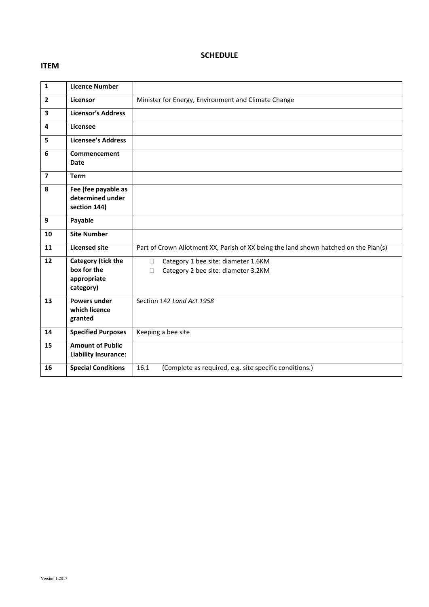#### **ITEM**

# **SCHEDULE**

| $\mathbf{1}$   | <b>Licence Number</b>                                                |                                                                                           |
|----------------|----------------------------------------------------------------------|-------------------------------------------------------------------------------------------|
| $\overline{2}$ | Licensor                                                             | Minister for Energy, Environment and Climate Change                                       |
| 3              | <b>Licensor's Address</b>                                            |                                                                                           |
| 4              | Licensee                                                             |                                                                                           |
| 5              | <b>Licensee's Address</b>                                            |                                                                                           |
| 6              | Commencement<br>Date                                                 |                                                                                           |
| $\overline{7}$ | <b>Term</b>                                                          |                                                                                           |
| 8              | Fee (fee payable as<br>determined under<br>section 144)              |                                                                                           |
| 9              | Payable                                                              |                                                                                           |
| 10             | <b>Site Number</b>                                                   |                                                                                           |
| 11             | <b>Licensed site</b>                                                 | Part of Crown Allotment XX, Parish of XX being the land shown hatched on the Plan(s)      |
| 12             | <b>Category (tick the</b><br>box for the<br>appropriate<br>category) | Category 1 bee site: diameter 1.6KM<br>$\Box$<br>Category 2 bee site: diameter 3.2KM<br>П |
| 13             | <b>Powers under</b><br>which licence<br>granted                      | Section 142 Land Act 1958                                                                 |
| 14             | <b>Specified Purposes</b>                                            | Keeping a bee site                                                                        |
| 15             | <b>Amount of Public</b><br><b>Liability Insurance:</b>               |                                                                                           |
| 16             | <b>Special Conditions</b>                                            | 16.1<br>(Complete as required, e.g. site specific conditions.)                            |